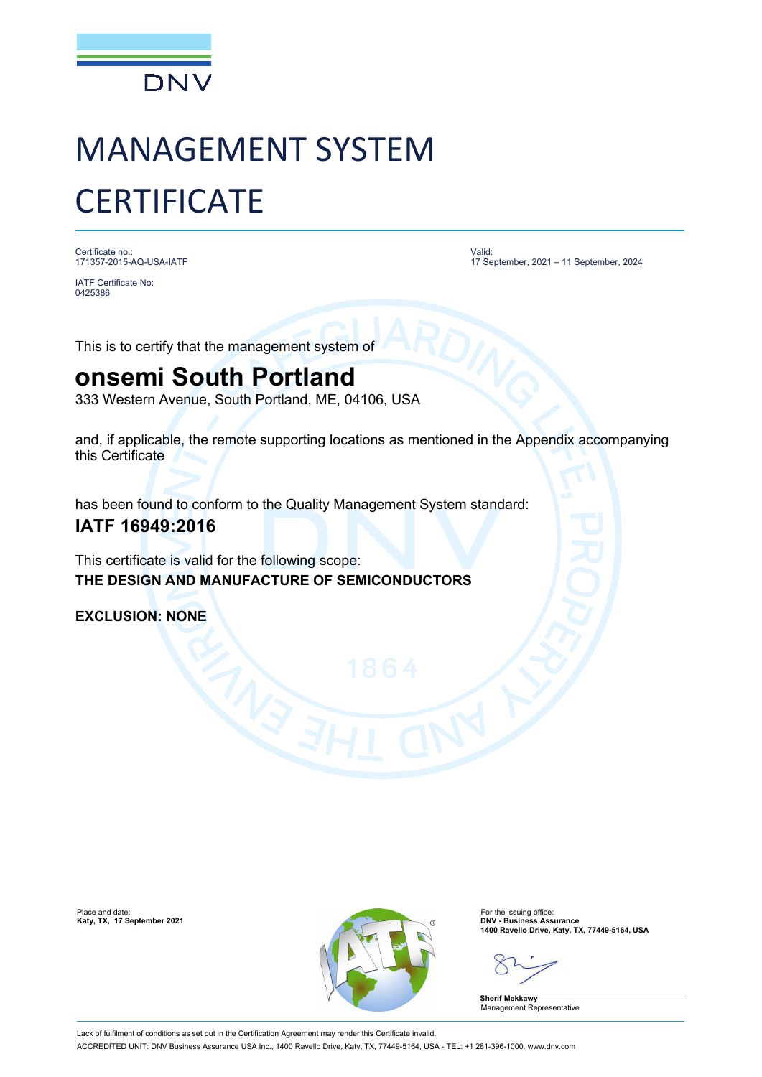

# MANAGEMENT SYSTEM **CERTIFICATE**

Certificate no.: 171357-2015-AQ-USA-IATF

IATF Certificate No: 0425386

Valid: 17 September, 2021 – 11 September, 2024

This is to certify that the management system of

## **onsemi South Portland**

333 Western Avenue, South Portland, ME, 04106, USA

and, if applicable, the remote supporting locations as mentioned in the Appendix accompanying this Certificate

has been found to conform to the Quality Management System standard:

### **IATF 16949:2016**

This certificate is valid for the following scope: **THE DESIGN AND MANUFACTURE OF SEMICONDUCTORS**

**EXCLUSION: NONE**



**1400 Ravello Drive, Katy, TX, 77449-5164, USA**